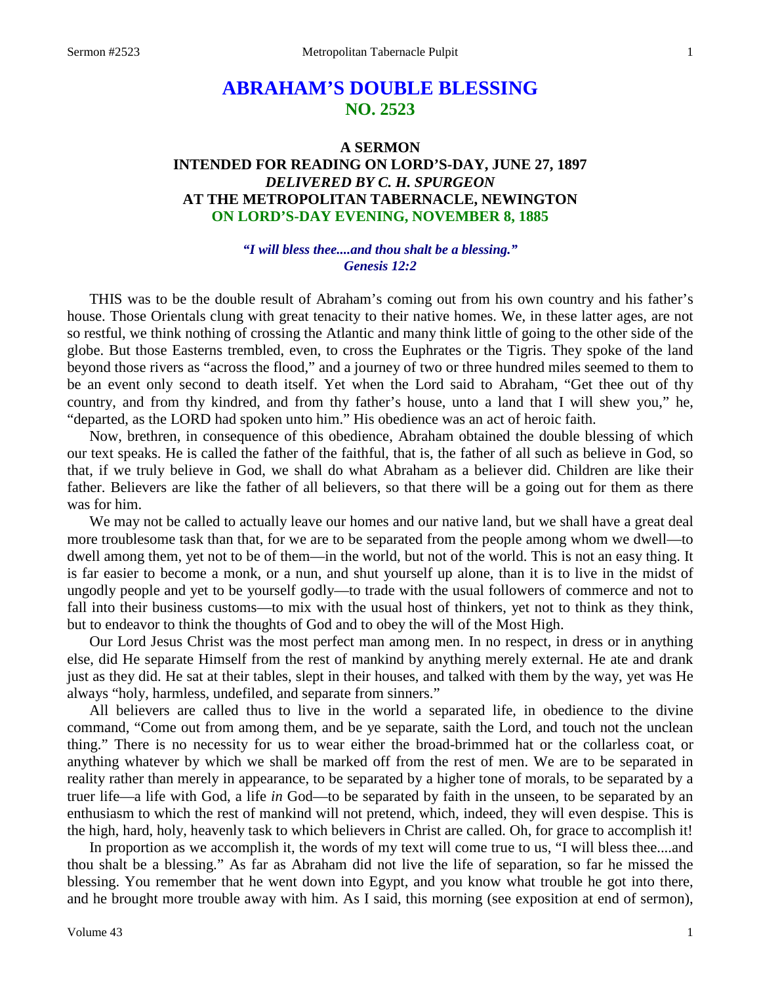# **ABRAHAM'S DOUBLE BLESSING NO. 2523**

## **A SERMON INTENDED FOR READING ON LORD'S-DAY, JUNE 27, 1897** *DELIVERED BY C. H. SPURGEON* **AT THE METROPOLITAN TABERNACLE, NEWINGTON ON LORD'S-DAY EVENING, NOVEMBER 8, 1885**

#### *"I will bless thee....and thou shalt be a blessing." Genesis 12:2*

THIS was to be the double result of Abraham's coming out from his own country and his father's house. Those Orientals clung with great tenacity to their native homes. We, in these latter ages, are not so restful, we think nothing of crossing the Atlantic and many think little of going to the other side of the globe. But those Easterns trembled, even, to cross the Euphrates or the Tigris. They spoke of the land beyond those rivers as "across the flood," and a journey of two or three hundred miles seemed to them to be an event only second to death itself. Yet when the Lord said to Abraham, "Get thee out of thy country, and from thy kindred, and from thy father's house, unto a land that I will shew you," he, "departed, as the LORD had spoken unto him." His obedience was an act of heroic faith.

Now, brethren, in consequence of this obedience, Abraham obtained the double blessing of which our text speaks. He is called the father of the faithful, that is, the father of all such as believe in God, so that, if we truly believe in God, we shall do what Abraham as a believer did. Children are like their father. Believers are like the father of all believers, so that there will be a going out for them as there was for him.

We may not be called to actually leave our homes and our native land, but we shall have a great deal more troublesome task than that, for we are to be separated from the people among whom we dwell—to dwell among them, yet not to be of them—in the world, but not of the world. This is not an easy thing. It is far easier to become a monk, or a nun, and shut yourself up alone, than it is to live in the midst of ungodly people and yet to be yourself godly—to trade with the usual followers of commerce and not to fall into their business customs—to mix with the usual host of thinkers, yet not to think as they think, but to endeavor to think the thoughts of God and to obey the will of the Most High.

Our Lord Jesus Christ was the most perfect man among men. In no respect, in dress or in anything else, did He separate Himself from the rest of mankind by anything merely external. He ate and drank just as they did. He sat at their tables, slept in their houses, and talked with them by the way, yet was He always "holy, harmless, undefiled, and separate from sinners."

All believers are called thus to live in the world a separated life, in obedience to the divine command, "Come out from among them, and be ye separate, saith the Lord, and touch not the unclean thing." There is no necessity for us to wear either the broad-brimmed hat or the collarless coat, or anything whatever by which we shall be marked off from the rest of men. We are to be separated in reality rather than merely in appearance, to be separated by a higher tone of morals, to be separated by a truer life—a life with God, a life *in* God—to be separated by faith in the unseen, to be separated by an enthusiasm to which the rest of mankind will not pretend, which, indeed, they will even despise. This is the high, hard, holy, heavenly task to which believers in Christ are called. Oh, for grace to accomplish it!

In proportion as we accomplish it, the words of my text will come true to us, "I will bless thee....and thou shalt be a blessing." As far as Abraham did not live the life of separation, so far he missed the blessing. You remember that he went down into Egypt, and you know what trouble he got into there, and he brought more trouble away with him. As I said, this morning (see exposition at end of sermon),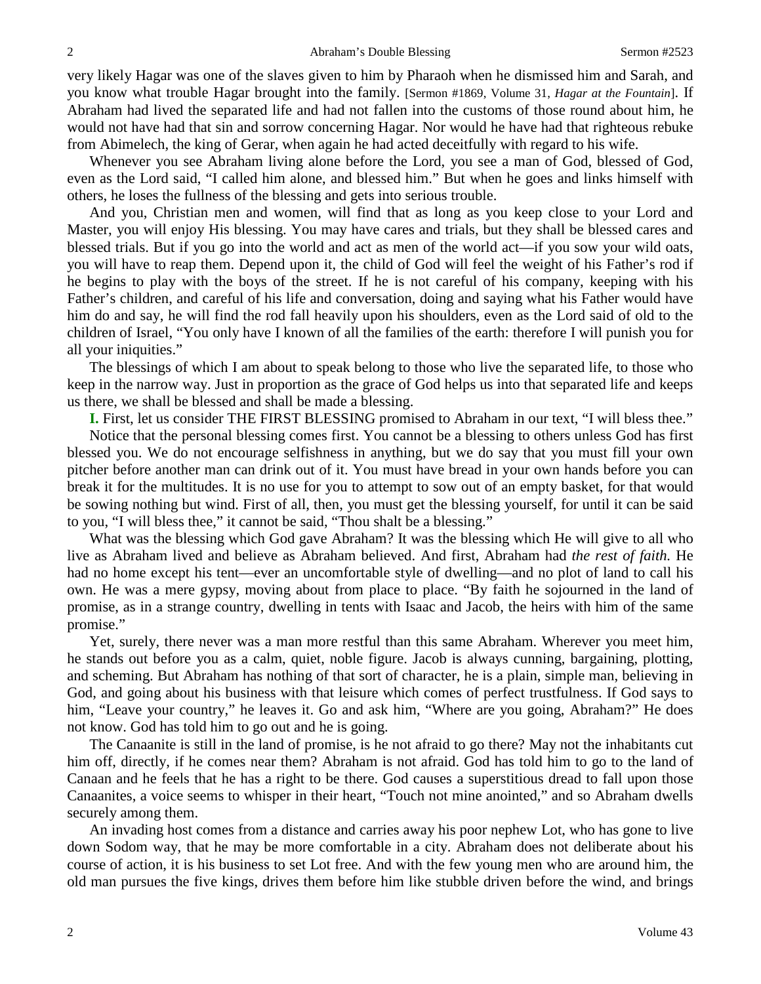very likely Hagar was one of the slaves given to him by Pharaoh when he dismissed him and Sarah, and you know what trouble Hagar brought into the family. [Sermon #1869, Volume 31, *Hagar at the Fountain*]. If Abraham had lived the separated life and had not fallen into the customs of those round about him, he would not have had that sin and sorrow concerning Hagar. Nor would he have had that righteous rebuke from Abimelech, the king of Gerar, when again he had acted deceitfully with regard to his wife.

Whenever you see Abraham living alone before the Lord, you see a man of God, blessed of God, even as the Lord said, "I called him alone, and blessed him." But when he goes and links himself with others, he loses the fullness of the blessing and gets into serious trouble.

And you, Christian men and women, will find that as long as you keep close to your Lord and Master, you will enjoy His blessing. You may have cares and trials, but they shall be blessed cares and blessed trials. But if you go into the world and act as men of the world act—if you sow your wild oats, you will have to reap them. Depend upon it, the child of God will feel the weight of his Father's rod if he begins to play with the boys of the street. If he is not careful of his company, keeping with his Father's children, and careful of his life and conversation, doing and saying what his Father would have him do and say, he will find the rod fall heavily upon his shoulders, even as the Lord said of old to the children of Israel, "You only have I known of all the families of the earth: therefore I will punish you for all your iniquities."

The blessings of which I am about to speak belong to those who live the separated life, to those who keep in the narrow way. Just in proportion as the grace of God helps us into that separated life and keeps us there, we shall be blessed and shall be made a blessing.

**I.** First, let us consider THE FIRST BLESSING promised to Abraham in our text, "I will bless thee."

Notice that the personal blessing comes first. You cannot be a blessing to others unless God has first blessed you. We do not encourage selfishness in anything, but we do say that you must fill your own pitcher before another man can drink out of it. You must have bread in your own hands before you can break it for the multitudes. It is no use for you to attempt to sow out of an empty basket, for that would be sowing nothing but wind. First of all, then, you must get the blessing yourself, for until it can be said to you, "I will bless thee," it cannot be said, "Thou shalt be a blessing."

What was the blessing which God gave Abraham? It was the blessing which He will give to all who live as Abraham lived and believe as Abraham believed. And first, Abraham had *the rest of faith.* He had no home except his tent—ever an uncomfortable style of dwelling—and no plot of land to call his own. He was a mere gypsy, moving about from place to place. "By faith he sojourned in the land of promise, as in a strange country, dwelling in tents with Isaac and Jacob, the heirs with him of the same promise."

Yet, surely, there never was a man more restful than this same Abraham. Wherever you meet him, he stands out before you as a calm, quiet, noble figure. Jacob is always cunning, bargaining, plotting, and scheming. But Abraham has nothing of that sort of character, he is a plain, simple man, believing in God, and going about his business with that leisure which comes of perfect trustfulness. If God says to him, "Leave your country," he leaves it. Go and ask him, "Where are you going, Abraham?" He does not know. God has told him to go out and he is going.

The Canaanite is still in the land of promise, is he not afraid to go there? May not the inhabitants cut him off, directly, if he comes near them? Abraham is not afraid. God has told him to go to the land of Canaan and he feels that he has a right to be there. God causes a superstitious dread to fall upon those Canaanites, a voice seems to whisper in their heart, "Touch not mine anointed," and so Abraham dwells securely among them.

An invading host comes from a distance and carries away his poor nephew Lot, who has gone to live down Sodom way, that he may be more comfortable in a city. Abraham does not deliberate about his course of action, it is his business to set Lot free. And with the few young men who are around him, the old man pursues the five kings, drives them before him like stubble driven before the wind, and brings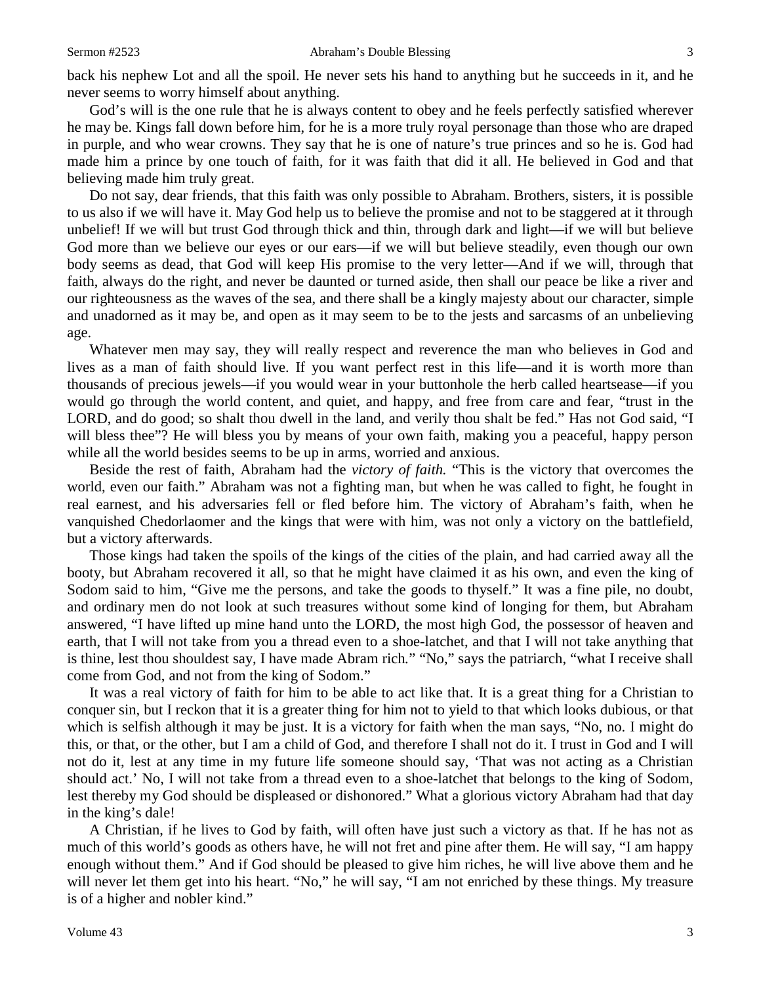back his nephew Lot and all the spoil. He never sets his hand to anything but he succeeds in it, and he never seems to worry himself about anything.

God's will is the one rule that he is always content to obey and he feels perfectly satisfied wherever he may be. Kings fall down before him, for he is a more truly royal personage than those who are draped in purple, and who wear crowns. They say that he is one of nature's true princes and so he is. God had made him a prince by one touch of faith, for it was faith that did it all. He believed in God and that believing made him truly great.

Do not say, dear friends, that this faith was only possible to Abraham. Brothers, sisters, it is possible to us also if we will have it. May God help us to believe the promise and not to be staggered at it through unbelief! If we will but trust God through thick and thin, through dark and light—if we will but believe God more than we believe our eyes or our ears—if we will but believe steadily, even though our own body seems as dead, that God will keep His promise to the very letter—And if we will, through that faith, always do the right, and never be daunted or turned aside, then shall our peace be like a river and our righteousness as the waves of the sea, and there shall be a kingly majesty about our character, simple and unadorned as it may be, and open as it may seem to be to the jests and sarcasms of an unbelieving age.

Whatever men may say, they will really respect and reverence the man who believes in God and lives as a man of faith should live. If you want perfect rest in this life—and it is worth more than thousands of precious jewels—if you would wear in your buttonhole the herb called heartsease—if you would go through the world content, and quiet, and happy, and free from care and fear, "trust in the LORD, and do good; so shalt thou dwell in the land, and verily thou shalt be fed." Has not God said, "I will bless thee"? He will bless you by means of your own faith, making you a peaceful, happy person while all the world besides seems to be up in arms, worried and anxious.

Beside the rest of faith, Abraham had the *victory of faith.* "This is the victory that overcomes the world, even our faith." Abraham was not a fighting man, but when he was called to fight, he fought in real earnest, and his adversaries fell or fled before him. The victory of Abraham's faith, when he vanquished Chedorlaomer and the kings that were with him, was not only a victory on the battlefield, but a victory afterwards.

Those kings had taken the spoils of the kings of the cities of the plain, and had carried away all the booty, but Abraham recovered it all, so that he might have claimed it as his own, and even the king of Sodom said to him, "Give me the persons, and take the goods to thyself." It was a fine pile, no doubt, and ordinary men do not look at such treasures without some kind of longing for them, but Abraham answered, "I have lifted up mine hand unto the LORD, the most high God, the possessor of heaven and earth, that I will not take from you a thread even to a shoe-latchet, and that I will not take anything that is thine, lest thou shouldest say, I have made Abram rich*.*" "No," says the patriarch, "what I receive shall come from God, and not from the king of Sodom."

It was a real victory of faith for him to be able to act like that. It is a great thing for a Christian to conquer sin, but I reckon that it is a greater thing for him not to yield to that which looks dubious, or that which is selfish although it may be just. It is a victory for faith when the man says, "No, no. I might do this, or that, or the other, but I am a child of God, and therefore I shall not do it. I trust in God and I will not do it, lest at any time in my future life someone should say, 'That was not acting as a Christian should act.' No, I will not take from a thread even to a shoe-latchet that belongs to the king of Sodom, lest thereby my God should be displeased or dishonored." What a glorious victory Abraham had that day in the king's dale!

A Christian, if he lives to God by faith, will often have just such a victory as that. If he has not as much of this world's goods as others have, he will not fret and pine after them. He will say, "I am happy enough without them." And if God should be pleased to give him riches, he will live above them and he will never let them get into his heart. "No," he will say, "I am not enriched by these things. My treasure is of a higher and nobler kind."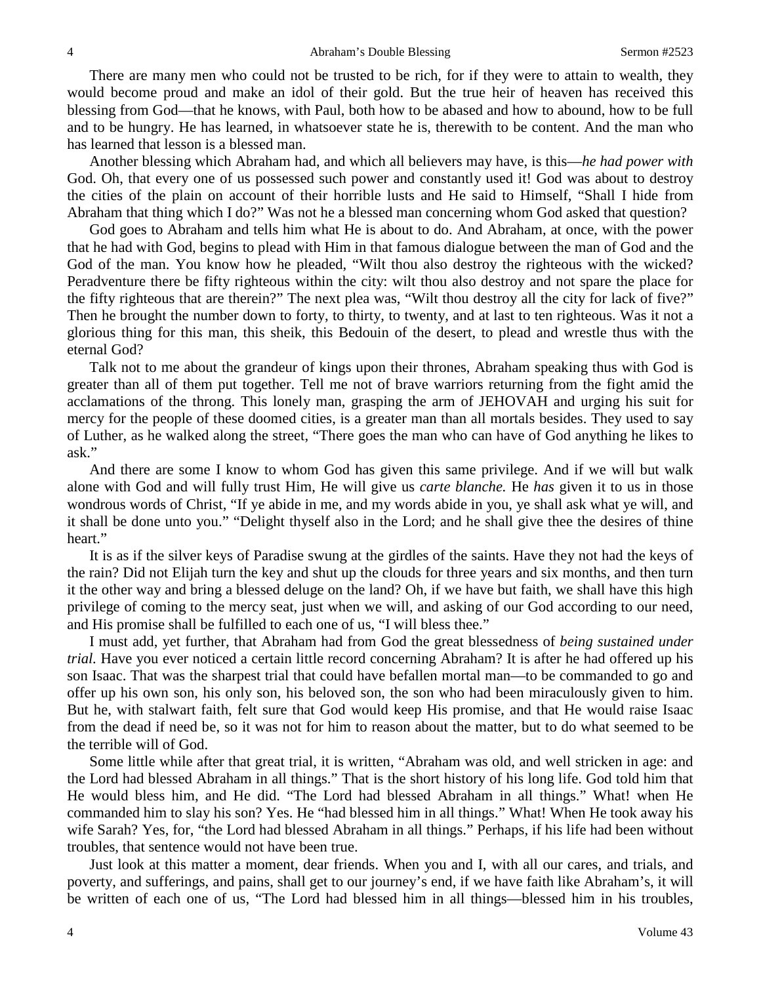There are many men who could not be trusted to be rich, for if they were to attain to wealth, they would become proud and make an idol of their gold. But the true heir of heaven has received this blessing from God—that he knows, with Paul, both how to be abased and how to abound, how to be full and to be hungry. He has learned, in whatsoever state he is, therewith to be content. And the man who has learned that lesson is a blessed man.

Another blessing which Abraham had, and which all believers may have, is this—*he had power with*  God. Oh, that every one of us possessed such power and constantly used it! God was about to destroy the cities of the plain on account of their horrible lusts and He said to Himself, "Shall I hide from Abraham that thing which I do?" Was not he a blessed man concerning whom God asked that question?

God goes to Abraham and tells him what He is about to do. And Abraham, at once, with the power that he had with God, begins to plead with Him in that famous dialogue between the man of God and the God of the man. You know how he pleaded, "Wilt thou also destroy the righteous with the wicked? Peradventure there be fifty righteous within the city: wilt thou also destroy and not spare the place for the fifty righteous that are therein?" The next plea was, "Wilt thou destroy all the city for lack of five?" Then he brought the number down to forty, to thirty, to twenty, and at last to ten righteous. Was it not a glorious thing for this man, this sheik, this Bedouin of the desert, to plead and wrestle thus with the eternal God?

Talk not to me about the grandeur of kings upon their thrones, Abraham speaking thus with God is greater than all of them put together. Tell me not of brave warriors returning from the fight amid the acclamations of the throng. This lonely man, grasping the arm of JEHOVAH and urging his suit for mercy for the people of these doomed cities, is a greater man than all mortals besides. They used to say of Luther, as he walked along the street, "There goes the man who can have of God anything he likes to ask."

And there are some I know to whom God has given this same privilege. And if we will but walk alone with God and will fully trust Him, He will give us *carte blanche.* He *has* given it to us in those wondrous words of Christ, "If ye abide in me, and my words abide in you, ye shall ask what ye will, and it shall be done unto you." "Delight thyself also in the Lord; and he shall give thee the desires of thine heart."

It is as if the silver keys of Paradise swung at the girdles of the saints. Have they not had the keys of the rain? Did not Elijah turn the key and shut up the clouds for three years and six months, and then turn it the other way and bring a blessed deluge on the land? Oh, if we have but faith, we shall have this high privilege of coming to the mercy seat, just when we will, and asking of our God according to our need, and His promise shall be fulfilled to each one of us, "I will bless thee."

I must add, yet further, that Abraham had from God the great blessedness of *being sustained under trial.* Have you ever noticed a certain little record concerning Abraham? It is after he had offered up his son Isaac. That was the sharpest trial that could have befallen mortal man—to be commanded to go and offer up his own son, his only son, his beloved son, the son who had been miraculously given to him. But he, with stalwart faith, felt sure that God would keep His promise, and that He would raise Isaac from the dead if need be, so it was not for him to reason about the matter, but to do what seemed to be the terrible will of God.

Some little while after that great trial, it is written, "Abraham was old, and well stricken in age: and the Lord had blessed Abraham in all things." That is the short history of his long life. God told him that He would bless him, and He did. "The Lord had blessed Abraham in all things." What! when He commanded him to slay his son? Yes. He "had blessed him in all things." What! When He took away his wife Sarah? Yes, for, "the Lord had blessed Abraham in all things." Perhaps, if his life had been without troubles, that sentence would not have been true.

Just look at this matter a moment, dear friends. When you and I, with all our cares, and trials, and poverty, and sufferings, and pains, shall get to our journey's end, if we have faith like Abraham's, it will be written of each one of us, "The Lord had blessed him in all things—blessed him in his troubles,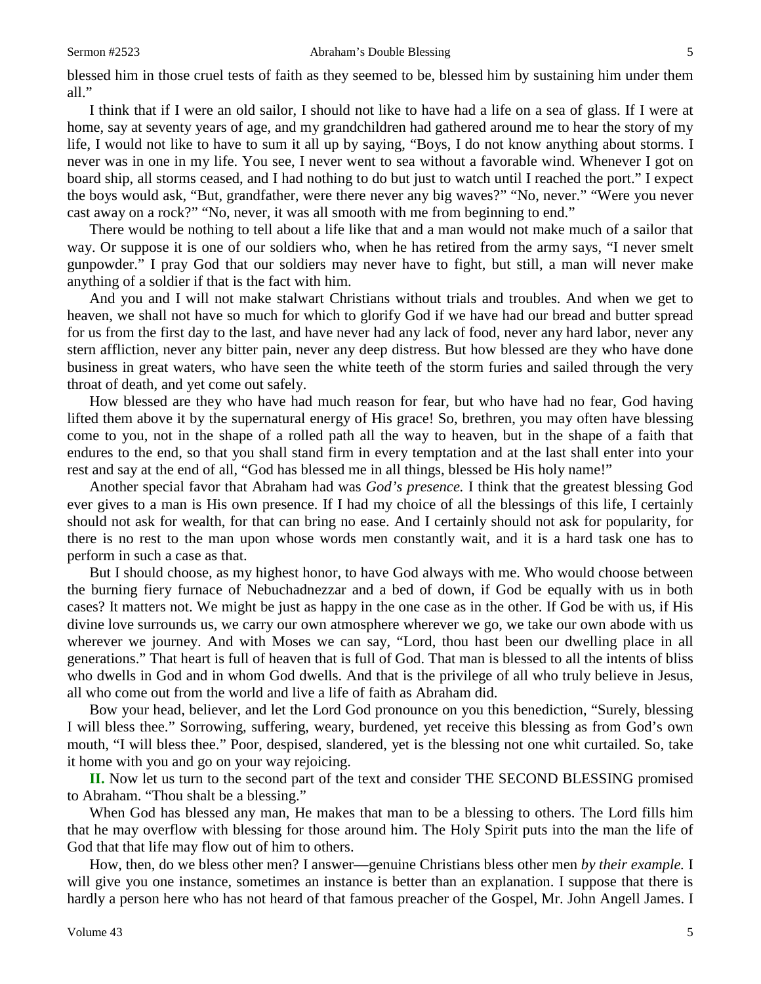blessed him in those cruel tests of faith as they seemed to be, blessed him by sustaining him under them all."

I think that if I were an old sailor, I should not like to have had a life on a sea of glass. If I were at home, say at seventy years of age, and my grandchildren had gathered around me to hear the story of my life, I would not like to have to sum it all up by saying, "Boys, I do not know anything about storms. I never was in one in my life. You see, I never went to sea without a favorable wind. Whenever I got on board ship, all storms ceased, and I had nothing to do but just to watch until I reached the port." I expect the boys would ask, "But, grandfather, were there never any big waves?" "No, never." "Were you never cast away on a rock?" "No, never, it was all smooth with me from beginning to end."

There would be nothing to tell about a life like that and a man would not make much of a sailor that way. Or suppose it is one of our soldiers who, when he has retired from the army says, "I never smelt gunpowder." I pray God that our soldiers may never have to fight, but still, a man will never make anything of a soldier if that is the fact with him.

And you and I will not make stalwart Christians without trials and troubles. And when we get to heaven, we shall not have so much for which to glorify God if we have had our bread and butter spread for us from the first day to the last, and have never had any lack of food, never any hard labor, never any stern affliction, never any bitter pain, never any deep distress. But how blessed are they who have done business in great waters, who have seen the white teeth of the storm furies and sailed through the very throat of death, and yet come out safely.

How blessed are they who have had much reason for fear, but who have had no fear, God having lifted them above it by the supernatural energy of His grace! So, brethren, you may often have blessing come to you, not in the shape of a rolled path all the way to heaven, but in the shape of a faith that endures to the end, so that you shall stand firm in every temptation and at the last shall enter into your rest and say at the end of all, "God has blessed me in all things, blessed be His holy name!"

Another special favor that Abraham had was *God's presence.* I think that the greatest blessing God ever gives to a man is His own presence. If I had my choice of all the blessings of this life, I certainly should not ask for wealth, for that can bring no ease. And I certainly should not ask for popularity, for there is no rest to the man upon whose words men constantly wait, and it is a hard task one has to perform in such a case as that.

But I should choose, as my highest honor, to have God always with me. Who would choose between the burning fiery furnace of Nebuchadnezzar and a bed of down, if God be equally with us in both cases? It matters not. We might be just as happy in the one case as in the other. If God be with us, if His divine love surrounds us, we carry our own atmosphere wherever we go, we take our own abode with us wherever we journey. And with Moses we can say, "Lord, thou hast been our dwelling place in all generations." That heart is full of heaven that is full of God. That man is blessed to all the intents of bliss who dwells in God and in whom God dwells. And that is the privilege of all who truly believe in Jesus, all who come out from the world and live a life of faith as Abraham did.

Bow your head, believer, and let the Lord God pronounce on you this benediction, "Surely, blessing I will bless thee." Sorrowing, suffering, weary, burdened, yet receive this blessing as from God's own mouth, "I will bless thee." Poor, despised, slandered, yet is the blessing not one whit curtailed. So, take it home with you and go on your way rejoicing.

**II.** Now let us turn to the second part of the text and consider THE SECOND BLESSING promised to Abraham. "Thou shalt be a blessing."

When God has blessed any man, He makes that man to be a blessing to others. The Lord fills him that he may overflow with blessing for those around him. The Holy Spirit puts into the man the life of God that that life may flow out of him to others.

How, then, do we bless other men? I answer—genuine Christians bless other men *by their example.* I will give you one instance, sometimes an instance is better than an explanation. I suppose that there is hardly a person here who has not heard of that famous preacher of the Gospel, Mr. John Angell James. I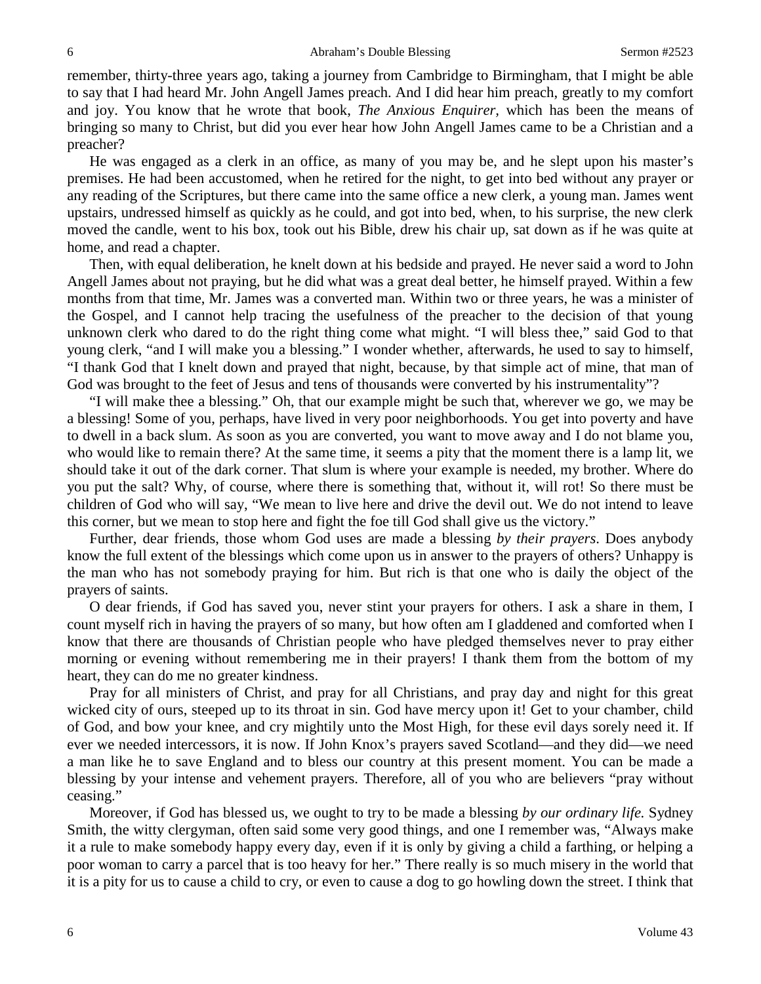remember, thirty-three years ago, taking a journey from Cambridge to Birmingham, that I might be able to say that I had heard Mr. John Angell James preach. And I did hear him preach, greatly to my comfort and joy. You know that he wrote that book, *The Anxious Enquirer,* which has been the means of bringing so many to Christ, but did you ever hear how John Angell James came to be a Christian and a preacher?

He was engaged as a clerk in an office, as many of you may be, and he slept upon his master's premises. He had been accustomed, when he retired for the night, to get into bed without any prayer or any reading of the Scriptures, but there came into the same office a new clerk, a young man. James went upstairs, undressed himself as quickly as he could, and got into bed, when, to his surprise, the new clerk moved the candle, went to his box, took out his Bible, drew his chair up, sat down as if he was quite at home, and read a chapter.

Then, with equal deliberation, he knelt down at his bedside and prayed. He never said a word to John Angell James about not praying, but he did what was a great deal better, he himself prayed. Within a few months from that time, Mr. James was a converted man. Within two or three years, he was a minister of the Gospel, and I cannot help tracing the usefulness of the preacher to the decision of that young unknown clerk who dared to do the right thing come what might. "I will bless thee," said God to that young clerk, "and I will make you a blessing." I wonder whether, afterwards, he used to say to himself, "I thank God that I knelt down and prayed that night, because, by that simple act of mine, that man of God was brought to the feet of Jesus and tens of thousands were converted by his instrumentality"?

"I will make thee a blessing." Oh, that our example might be such that, wherever we go, we may be a blessing! Some of you, perhaps, have lived in very poor neighborhoods. You get into poverty and have to dwell in a back slum. As soon as you are converted, you want to move away and I do not blame you, who would like to remain there? At the same time, it seems a pity that the moment there is a lamp lit, we should take it out of the dark corner. That slum is where your example is needed, my brother. Where do you put the salt? Why, of course, where there is something that, without it, will rot! So there must be children of God who will say, "We mean to live here and drive the devil out. We do not intend to leave this corner, but we mean to stop here and fight the foe till God shall give us the victory."

Further, dear friends, those whom God uses are made a blessing *by their prayers*. Does anybody know the full extent of the blessings which come upon us in answer to the prayers of others? Unhappy is the man who has not somebody praying for him. But rich is that one who is daily the object of the prayers of saints.

O dear friends, if God has saved you, never stint your prayers for others. I ask a share in them, I count myself rich in having the prayers of so many, but how often am I gladdened and comforted when I know that there are thousands of Christian people who have pledged themselves never to pray either morning or evening without remembering me in their prayers! I thank them from the bottom of my heart, they can do me no greater kindness.

Pray for all ministers of Christ, and pray for all Christians, and pray day and night for this great wicked city of ours, steeped up to its throat in sin. God have mercy upon it! Get to your chamber, child of God, and bow your knee, and cry mightily unto the Most High, for these evil days sorely need it. If ever we needed intercessors, it is now. If John Knox's prayers saved Scotland—and they did—we need a man like he to save England and to bless our country at this present moment. You can be made a blessing by your intense and vehement prayers. Therefore, all of you who are believers "pray without ceasing."

Moreover, if God has blessed us, we ought to try to be made a blessing *by our ordinary life.* Sydney Smith, the witty clergyman, often said some very good things, and one I remember was, "Always make it a rule to make somebody happy every day, even if it is only by giving a child a farthing, or helping a poor woman to carry a parcel that is too heavy for her." There really is so much misery in the world that it is a pity for us to cause a child to cry, or even to cause a dog to go howling down the street. I think that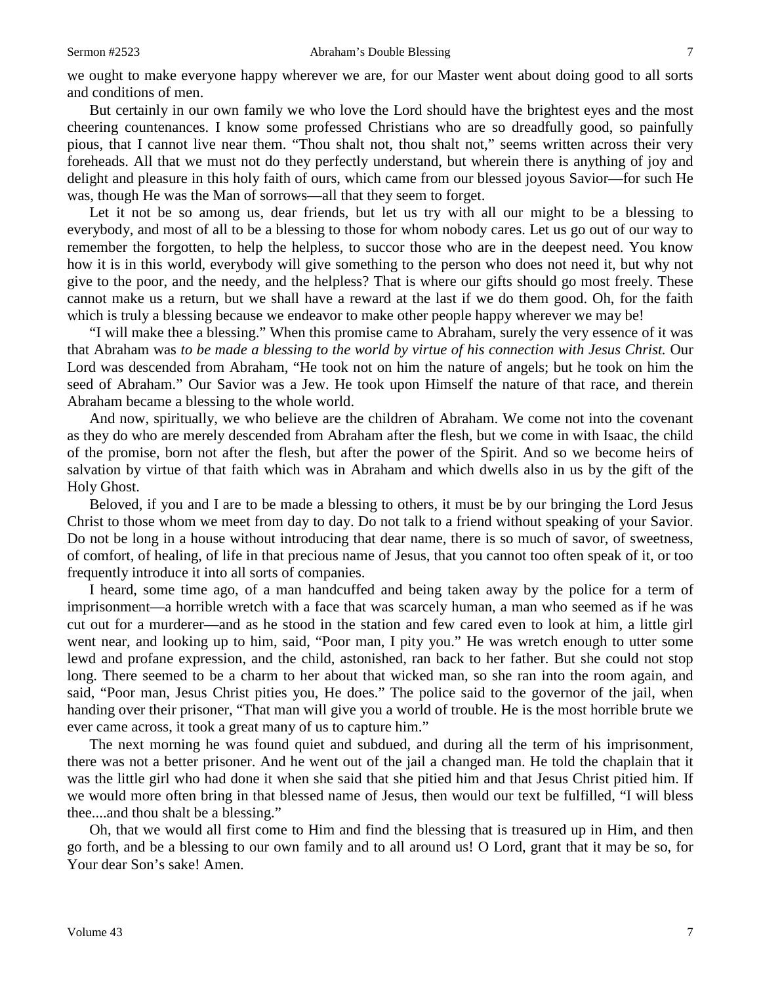we ought to make everyone happy wherever we are, for our Master went about doing good to all sorts and conditions of men.

But certainly in our own family we who love the Lord should have the brightest eyes and the most cheering countenances. I know some professed Christians who are so dreadfully good, so painfully pious, that I cannot live near them. "Thou shalt not, thou shalt not," seems written across their very foreheads. All that we must not do they perfectly understand, but wherein there is anything of joy and delight and pleasure in this holy faith of ours, which came from our blessed joyous Savior—for such He was, though He was the Man of sorrows—all that they seem to forget.

Let it not be so among us, dear friends, but let us try with all our might to be a blessing to everybody, and most of all to be a blessing to those for whom nobody cares. Let us go out of our way to remember the forgotten, to help the helpless, to succor those who are in the deepest need. You know how it is in this world, everybody will give something to the person who does not need it, but why not give to the poor, and the needy, and the helpless? That is where our gifts should go most freely. These cannot make us a return, but we shall have a reward at the last if we do them good. Oh, for the faith which is truly a blessing because we endeavor to make other people happy wherever we may be!

"I will make thee a blessing." When this promise came to Abraham, surely the very essence of it was that Abraham was *to be made a blessing to the world by virtue of his connection with Jesus Christ.* Our Lord was descended from Abraham, "He took not on him the nature of angels; but he took on him the seed of Abraham." Our Savior was a Jew. He took upon Himself the nature of that race, and therein Abraham became a blessing to the whole world.

And now, spiritually, we who believe are the children of Abraham. We come not into the covenant as they do who are merely descended from Abraham after the flesh, but we come in with Isaac, the child of the promise, born not after the flesh, but after the power of the Spirit. And so we become heirs of salvation by virtue of that faith which was in Abraham and which dwells also in us by the gift of the Holy Ghost.

Beloved, if you and I are to be made a blessing to others, it must be by our bringing the Lord Jesus Christ to those whom we meet from day to day. Do not talk to a friend without speaking of your Savior. Do not be long in a house without introducing that dear name, there is so much of savor, of sweetness, of comfort, of healing, of life in that precious name of Jesus, that you cannot too often speak of it, or too frequently introduce it into all sorts of companies.

I heard, some time ago, of a man handcuffed and being taken away by the police for a term of imprisonment—a horrible wretch with a face that was scarcely human, a man who seemed as if he was cut out for a murderer—and as he stood in the station and few cared even to look at him, a little girl went near, and looking up to him, said, "Poor man, I pity you." He was wretch enough to utter some lewd and profane expression, and the child, astonished, ran back to her father. But she could not stop long. There seemed to be a charm to her about that wicked man, so she ran into the room again, and said, "Poor man, Jesus Christ pities you, He does." The police said to the governor of the jail, when handing over their prisoner, "That man will give you a world of trouble. He is the most horrible brute we ever came across, it took a great many of us to capture him."

The next morning he was found quiet and subdued, and during all the term of his imprisonment, there was not a better prisoner. And he went out of the jail a changed man. He told the chaplain that it was the little girl who had done it when she said that she pitied him and that Jesus Christ pitied him. If we would more often bring in that blessed name of Jesus, then would our text be fulfilled, "I will bless thee....and thou shalt be a blessing."

Oh, that we would all first come to Him and find the blessing that is treasured up in Him, and then go forth, and be a blessing to our own family and to all around us! O Lord, grant that it may be so, for Your dear Son's sake! Amen.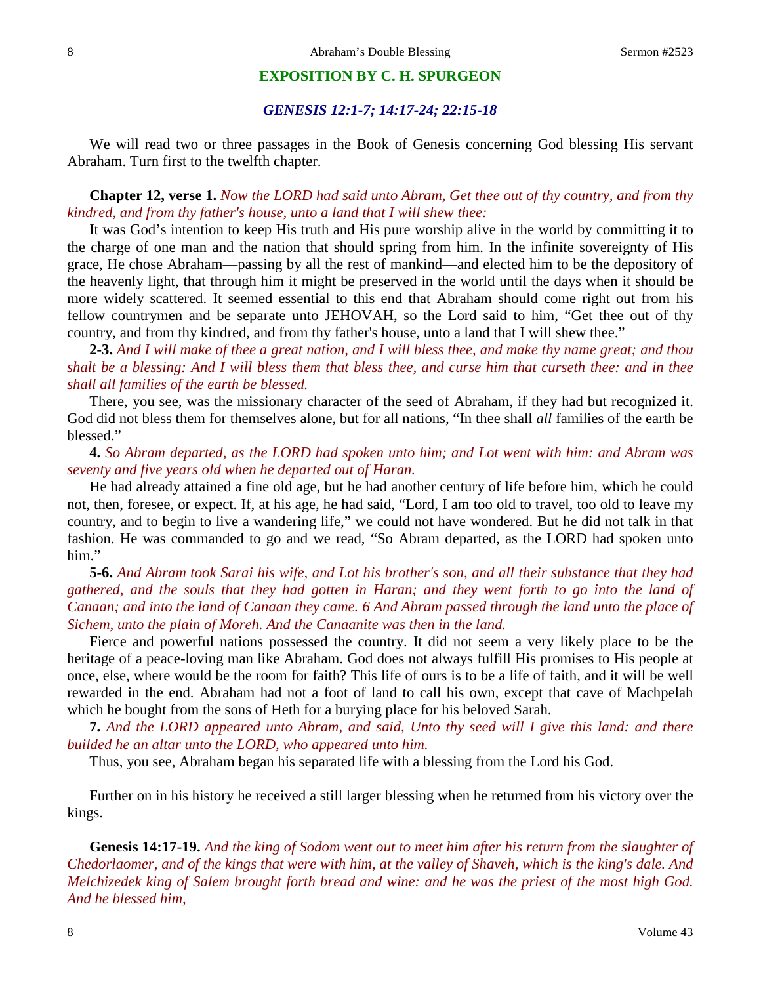#### **EXPOSITION BY C. H. SPURGEON**

#### *GENESIS 12:1-7; 14:17-24; 22:15-18*

We will read two or three passages in the Book of Genesis concerning God blessing His servant Abraham. Turn first to the twelfth chapter.

**Chapter 12, verse 1.** *Now the LORD had said unto Abram, Get thee out of thy country, and from thy kindred, and from thy father's house, unto a land that I will shew thee:*

It was God's intention to keep His truth and His pure worship alive in the world by committing it to the charge of one man and the nation that should spring from him. In the infinite sovereignty of His grace, He chose Abraham—passing by all the rest of mankind—and elected him to be the depository of the heavenly light, that through him it might be preserved in the world until the days when it should be more widely scattered. It seemed essential to this end that Abraham should come right out from his fellow countrymen and be separate unto JEHOVAH, so the Lord said to him, "Get thee out of thy country, and from thy kindred, and from thy father's house, unto a land that I will shew thee."

**2-3.** *And I will make of thee a great nation, and I will bless thee, and make thy name great; and thou shalt be a blessing: And I will bless them that bless thee, and curse him that curseth thee: and in thee shall all families of the earth be blessed.*

There, you see, was the missionary character of the seed of Abraham, if they had but recognized it. God did not bless them for themselves alone, but for all nations, "In thee shall *all* families of the earth be blessed."

**4.** *So Abram departed, as the LORD had spoken unto him; and Lot went with him: and Abram was seventy and five years old when he departed out of Haran.*

He had already attained a fine old age, but he had another century of life before him, which he could not, then, foresee, or expect. If, at his age, he had said, "Lord, I am too old to travel, too old to leave my country, and to begin to live a wandering life," we could not have wondered. But he did not talk in that fashion. He was commanded to go and we read, "So Abram departed, as the LORD had spoken unto him."

**5-6.** *And Abram took Sarai his wife, and Lot his brother's son, and all their substance that they had gathered, and the souls that they had gotten in Haran; and they went forth to go into the land of Canaan; and into the land of Canaan they came. 6 And Abram passed through the land unto the place of Sichem, unto the plain of Moreh. And the Canaanite was then in the land.* 

Fierce and powerful nations possessed the country. It did not seem a very likely place to be the heritage of a peace-loving man like Abraham. God does not always fulfill His promises to His people at once, else, where would be the room for faith? This life of ours is to be a life of faith, and it will be well rewarded in the end. Abraham had not a foot of land to call his own, except that cave of Machpelah which he bought from the sons of Heth for a burying place for his beloved Sarah.

**7.** *And the LORD appeared unto Abram, and said, Unto thy seed will I give this land: and there builded he an altar unto the LORD, who appeared unto him.*

Thus, you see, Abraham began his separated life with a blessing from the Lord his God.

Further on in his history he received a still larger blessing when he returned from his victory over the kings.

**Genesis 14:17-19.** *And the king of Sodom went out to meet him after his return from the slaughter of Chedorlaomer, and of the kings that were with him, at the valley of Shaveh, which is the king's dale. And Melchizedek king of Salem brought forth bread and wine: and he was the priest of the most high God. And he blessed him,*